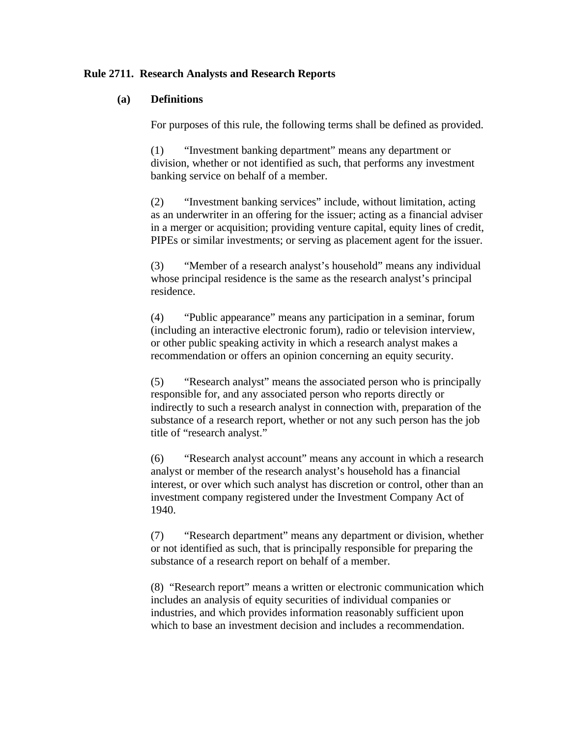## **Rule 2711. Research Analysts and Research Reports**

### **(a) Definitions**

For purposes of this rule, the following terms shall be defined as provided.

(1) "Investment banking department" means any department or division, whether or not identified as such, that performs any investment banking service on behalf of a member.

(2) "Investment banking services" include, without limitation, acting as an underwriter in an offering for the issuer; acting as a financial adviser in a merger or acquisition; providing venture capital, equity lines of credit, PIPEs or similar investments; or serving as placement agent for the issuer.

(3) "Member of a research analyst's household" means any individual whose principal residence is the same as the research analyst's principal residence.

(4) "Public appearance" means any participation in a seminar, forum (including an interactive electronic forum), radio or television interview, or other public speaking activity in which a research analyst makes a recommendation or offers an opinion concerning an equity security.

(5) "Research analyst" means the associated person who is principally responsible for, and any associated person who reports directly or indirectly to such a research analyst in connection with, preparation of the substance of a research report, whether or not any such person has the job title of "research analyst."

(6) "Research analyst account" means any account in which a research analyst or member of the research analyst's household has a financial interest, or over which such analyst has discretion or control, other than an investment company registered under the Investment Company Act of 1940.

(7) "Research department" means any department or division, whether or not identified as such, that is principally responsible for preparing the substance of a research report on behalf of a member.

(8) "Research report" means a written or electronic communication which includes an analysis of equity securities of individual companies or industries, and which provides information reasonably sufficient upon which to base an investment decision and includes a recommendation.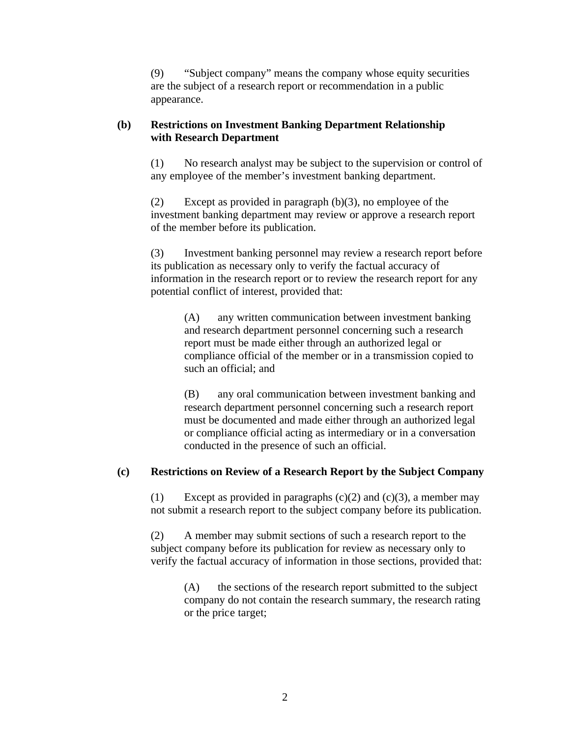(9) "Subject company" means the company whose equity securities are the subject of a research report or recommendation in a public appearance.

# **(b) Restrictions on Investment Banking Department Relationship with Research Department**

(1) No research analyst may be subject to the supervision or control of any employee of the member's investment banking department.

(2) Except as provided in paragraph (b)(3), no employee of the investment banking department may review or approve a research report of the member before its publication.

(3) Investment banking personnel may review a research report before its publication as necessary only to verify the factual accuracy of information in the research report or to review the research report for any potential conflict of interest, provided that:

(A) any written communication between investment banking and research department personnel concerning such a research report must be made either through an authorized legal or compliance official of the member or in a transmission copied to such an official; and

(B) any oral communication between investment banking and research department personnel concerning such a research report must be documented and made either through an authorized legal or compliance official acting as intermediary or in a conversation conducted in the presence of such an official.

# **(c) Restrictions on Review of a Research Report by the Subject Company**

(1) Except as provided in paragraphs  $(c)(2)$  and  $(c)(3)$ , a member may not submit a research report to the subject company before its publication.

(2) A member may submit sections of such a research report to the subject company before its publication for review as necessary only to verify the factual accuracy of information in those sections, provided that:

(A) the sections of the research report submitted to the subject company do not contain the research summary, the research rating or the price target;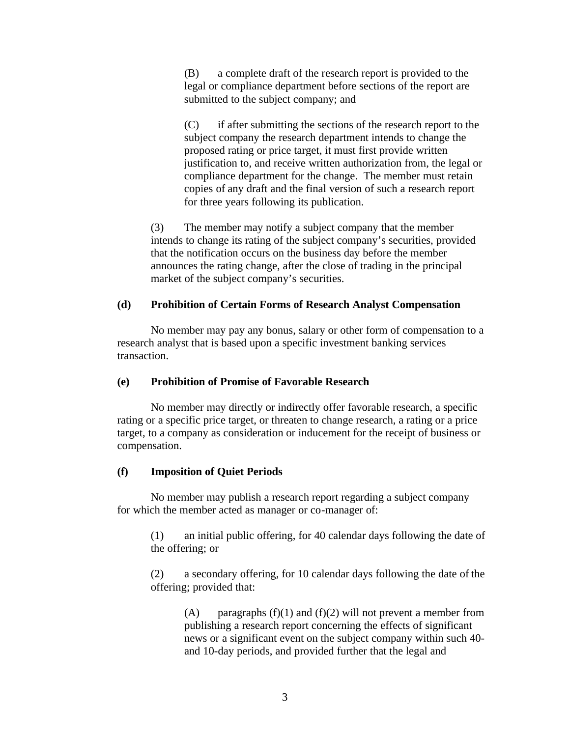(B) a complete draft of the research report is provided to the legal or compliance department before sections of the report are submitted to the subject company; and

(C) if after submitting the sections of the research report to the subject company the research department intends to change the proposed rating or price target, it must first provide written justification to, and receive written authorization from, the legal or compliance department for the change. The member must retain copies of any draft and the final version of such a research report for three years following its publication.

(3) The member may notify a subject company that the member intends to change its rating of the subject company's securities, provided that the notification occurs on the business day before the member announces the rating change, after the close of trading in the principal market of the subject company's securities.

## **(d) Prohibition of Certain Forms of Research Analyst Compensation**

No member may pay any bonus, salary or other form of compensation to a research analyst that is based upon a specific investment banking services transaction.

## **(e) Prohibition of Promise of Favorable Research**

No member may directly or indirectly offer favorable research, a specific rating or a specific price target, or threaten to change research, a rating or a price target, to a company as consideration or inducement for the receipt of business or compensation.

# **(f) Imposition of Quiet Periods**

No member may publish a research report regarding a subject company for which the member acted as manager or co-manager of:

(1) an initial public offering, for 40 calendar days following the date of the offering; or

(2) a secondary offering, for 10 calendar days following the date of the offering; provided that:

(A) paragraphs  $(f)(1)$  and  $(f)(2)$  will not prevent a member from publishing a research report concerning the effects of significant news or a significant event on the subject company within such 40 and 10-day periods, and provided further that the legal and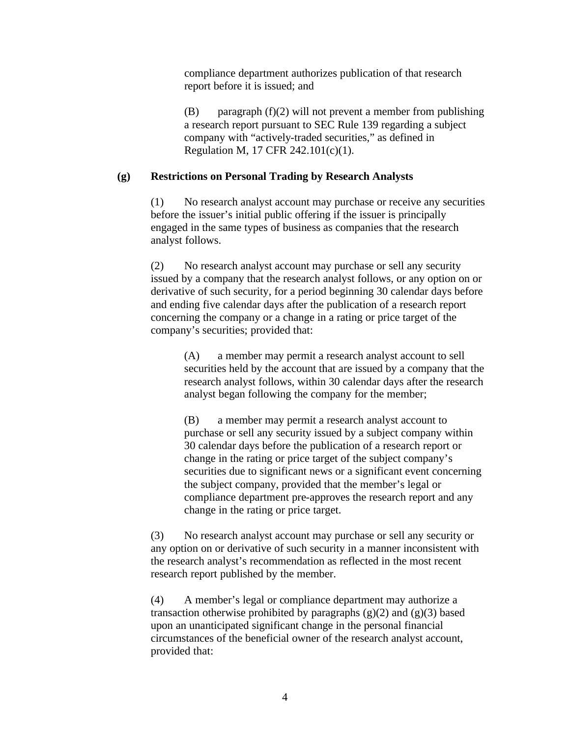compliance department authorizes publication of that research report before it is issued; and

(B) paragraph (f)(2) will not prevent a member from publishing a research report pursuant to SEC Rule 139 regarding a subject company with "actively-traded securities," as defined in Regulation M, 17 CFR 242.101(c)(1).

# **(g) Restrictions on Personal Trading by Research Analysts**

(1) No research analyst account may purchase or receive any securities before the issuer's initial public offering if the issuer is principally engaged in the same types of business as companies that the research analyst follows.

(2) No research analyst account may purchase or sell any security issued by a company that the research analyst follows, or any option on or derivative of such security, for a period beginning 30 calendar days before and ending five calendar days after the publication of a research report concerning the company or a change in a rating or price target of the company's securities; provided that:

(A) a member may permit a research analyst account to sell securities held by the account that are issued by a company that the research analyst follows, within 30 calendar days after the research analyst began following the company for the member;

(B) a member may permit a research analyst account to purchase or sell any security issued by a subject company within 30 calendar days before the publication of a research report or change in the rating or price target of the subject company's securities due to significant news or a significant event concerning the subject company, provided that the member's legal or compliance department pre-approves the research report and any change in the rating or price target.

(3) No research analyst account may purchase or sell any security or any option on or derivative of such security in a manner inconsistent with the research analyst's recommendation as reflected in the most recent research report published by the member.

(4) A member's legal or compliance department may authorize a transaction otherwise prohibited by paragraphs  $(g)(2)$  and  $(g)(3)$  based upon an unanticipated significant change in the personal financial circumstances of the beneficial owner of the research analyst account, provided that: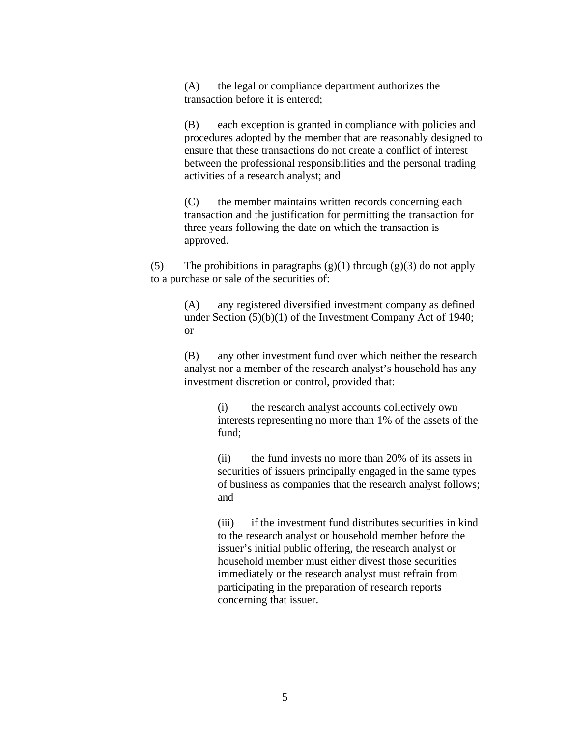(A) the legal or compliance department authorizes the transaction before it is entered;

(B) each exception is granted in compliance with policies and procedures adopted by the member that are reasonably designed to ensure that these transactions do not create a conflict of interest between the professional responsibilities and the personal trading activities of a research analyst; and

(C) the member maintains written records concerning each transaction and the justification for permitting the transaction for three years following the date on which the transaction is approved.

(5) The prohibitions in paragraphs  $(g)(1)$  through  $(g)(3)$  do not apply to a purchase or sale of the securities of:

> (A) any registered diversified investment company as defined under Section (5)(b)(1) of the Investment Company Act of 1940; or

> (B) any other investment fund over which neither the research analyst nor a member of the research analyst's household has any investment discretion or control, provided that:

> > (i) the research analyst accounts collectively own interests representing no more than 1% of the assets of the fund;

> > (ii) the fund invests no more than 20% of its assets in securities of issuers principally engaged in the same types of business as companies that the research analyst follows; and

> > (iii) if the investment fund distributes securities in kind to the research analyst or household member before the issuer's initial public offering, the research analyst or household member must either divest those securities immediately or the research analyst must refrain from participating in the preparation of research reports concerning that issuer.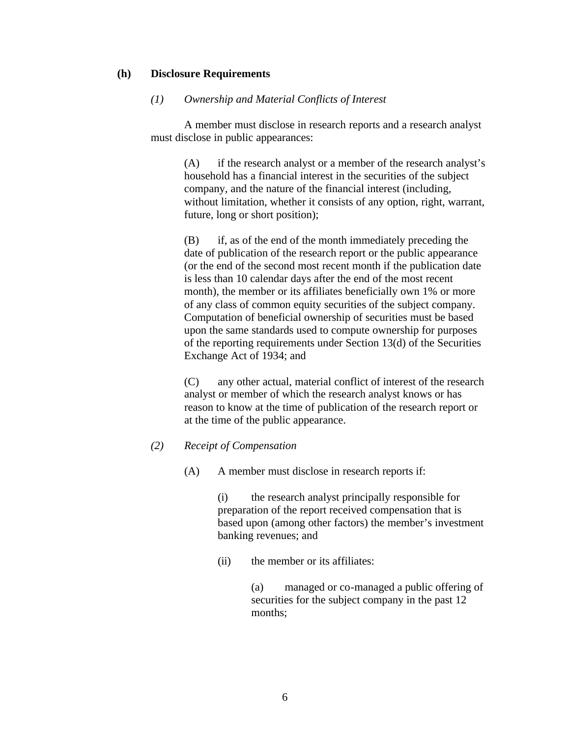# **(h) Disclosure Requirements**

### *(1) Ownership and Material Conflicts of Interest*

A member must disclose in research reports and a research analyst must disclose in public appearances:

(A) if the research analyst or a member of the research analyst's household has a financial interest in the securities of the subject company, and the nature of the financial interest (including, without limitation, whether it consists of any option, right, warrant, future, long or short position);

(B) if, as of the end of the month immediately preceding the date of publication of the research report or the public appearance (or the end of the second most recent month if the publication date is less than 10 calendar days after the end of the most recent month), the member or its affiliates beneficially own 1% or more of any class of common equity securities of the subject company. Computation of beneficial ownership of securities must be based upon the same standards used to compute ownership for purposes of the reporting requirements under Section 13(d) of the Securities Exchange Act of 1934; and

(C) any other actual, material conflict of interest of the research analyst or member of which the research analyst knows or has reason to know at the time of publication of the research report or at the time of the public appearance.

## *(2) Receipt of Compensation*

(A) A member must disclose in research reports if:

(i) the research analyst principally responsible for preparation of the report received compensation that is based upon (among other factors) the member's investment banking revenues; and

(ii) the member or its affiliates:

(a) managed or co-managed a public offering of securities for the subject company in the past 12 months;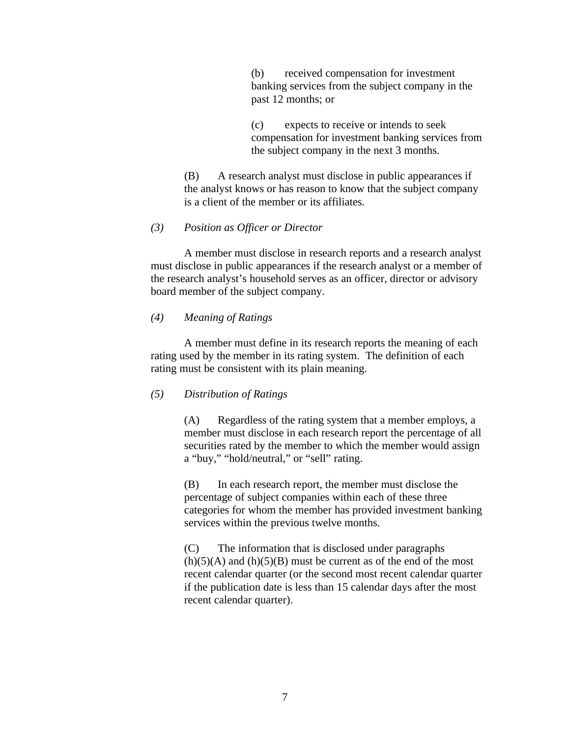(b) received compensation for investment banking services from the subject company in the past 12 months; or

(c) expects to receive or intends to seek compensation for investment banking services from the subject company in the next 3 months.

(B) A research analyst must disclose in public appearances if the analyst knows or has reason to know that the subject company is a client of the member or its affiliates.

#### *(3) Position as Officer or Director*

A member must disclose in research reports and a research analyst must disclose in public appearances if the research analyst or a member of the research analyst's household serves as an officer, director or advisory board member of the subject company.

### *(4) Meaning of Ratings*

A member must define in its research reports the meaning of each rating used by the member in its rating system. The definition of each rating must be consistent with its plain meaning.

#### *(5) Distribution of Ratings*

(A) Regardless of the rating system that a member employs, a member must disclose in each research report the percentage of all securities rated by the member to which the member would assign a "buy," "hold/neutral," or "sell" rating.

(B) In each research report, the member must disclose the percentage of subject companies within each of these three categories for whom the member has provided investment banking services within the previous twelve months.

(C) The information that is disclosed under paragraphs  $(h)(5)(A)$  and  $(h)(5)(B)$  must be current as of the end of the most recent calendar quarter (or the second most recent calendar quarter if the publication date is less than 15 calendar days after the most recent calendar quarter).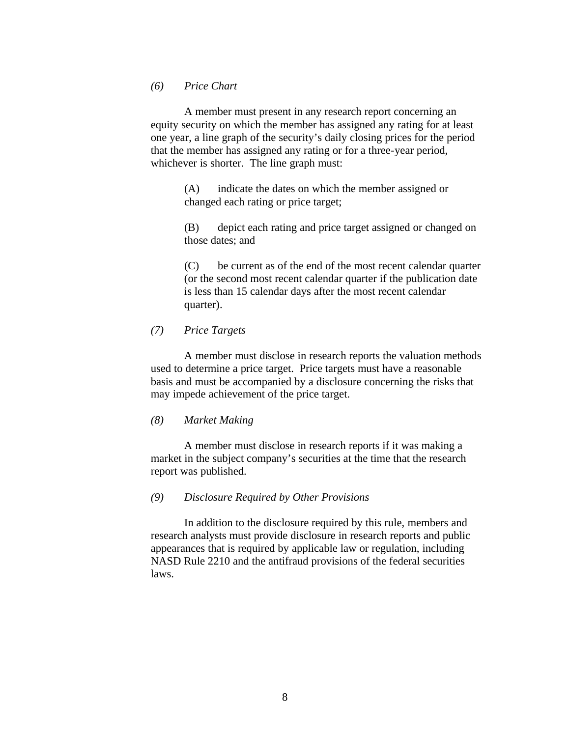*(6) Price Chart*

A member must present in any research report concerning an equity security on which the member has assigned any rating for at least one year, a line graph of the security's daily closing prices for the period that the member has assigned any rating or for a three-year period, whichever is shorter. The line graph must:

> (A) indicate the dates on which the member assigned or changed each rating or price target;

(B) depict each rating and price target assigned or changed on those dates; and

(C) be current as of the end of the most recent calendar quarter (or the second most recent calendar quarter if the publication date is less than 15 calendar days after the most recent calendar quarter).

#### *(7) Price Targets*

A member must disclose in research reports the valuation methods used to determine a price target. Price targets must have a reasonable basis and must be accompanied by a disclosure concerning the risks that may impede achievement of the price target.

#### *(8) Market Making*

A member must disclose in research reports if it was making a market in the subject company's securities at the time that the research report was published.

#### *(9) Disclosure Required by Other Provisions*

In addition to the disclosure required by this rule, members and research analysts must provide disclosure in research reports and public appearances that is required by applicable law or regulation, including NASD Rule 2210 and the antifraud provisions of the federal securities laws.